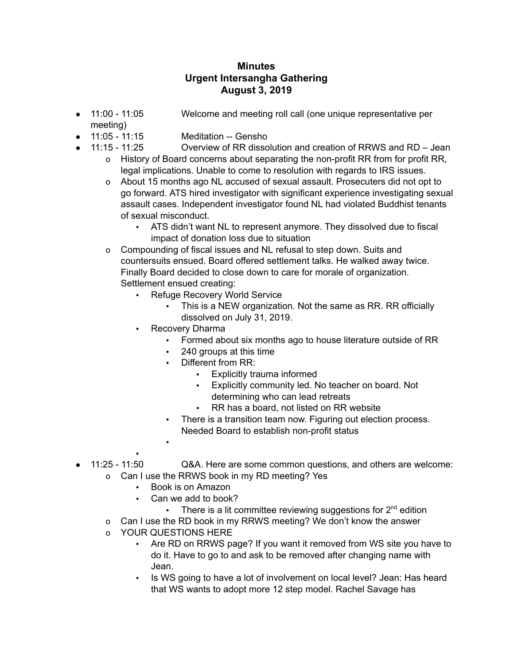## **Minutes Urgent Intersangha Gathering August 3, 2019**

- 11:00 11:05 Welcome and meeting roll call (one unique representative per meeting)
- 11:05 11:15 Meditation -- Gensho
- 11:15 11:25 Overview of RR dissolution and creation of RRWS and RD Jean
	- o History of Board concerns about separating the non-profit RR from for profit RR, legal implications. Unable to come to resolution with regards to IRS issues.
	- o About 15 months ago NL accused of sexual assault. Prosecuters did not opt to go forward. ATS hired investigator with significant experience investigating sexual assault cases. Independent investigator found NL had violated Buddhist tenants of sexual misconduct.
		- ATS didn't want NL to represent anymore. They dissolved due to fiscal impact of donation loss due to situation
	- o Compounding of fiscal issues and NL refusal to step down. Suits and countersuits ensued. Board offered settlement talks. He walked away twice. Finally Board decided to close down to care for morale of organization. Settlement ensued creating:
		- Refuge Recovery World Service
			- This is a NEW organization. Not the same as RR. RR officially dissolved on July 31, 2019.
		- **Recovery Dharma** 
			- Formed about six months ago to house literature outside of RR
			- 240 groups at this time
			- Different from RR:
				- **Explicitly trauma informed**
				- Explicitly community led. No teacher on board. Not determining who can lead retreats
				- RR has a board, not listed on RR website
			- There is a transition team now. Figuring out election process. Needed Board to establish non-profit status
- ● 11:25 - 11:50 Q&A. Here are some common questions, and others are welcome: o Can I use the RRWS book in my RD meeting? Yes
	- Book is on Amazon
		- Can we add to book?
			- **There is a lit committee reviewing suggestions for**  $2^{nd}$  **edition**
	- o Can I use the RD book in my RRWS meeting? We don't know the answer
	- o YOUR QUESTIONS HERE

▪

- Are RD on RRWS page? If you want it removed from WS site you have to do it. Have to go to and ask to be removed after changing name with Jean.
- Is WS going to have a lot of involvement on local level? Jean: Has heard that WS wants to adopt more 12 step model. Rachel Savage has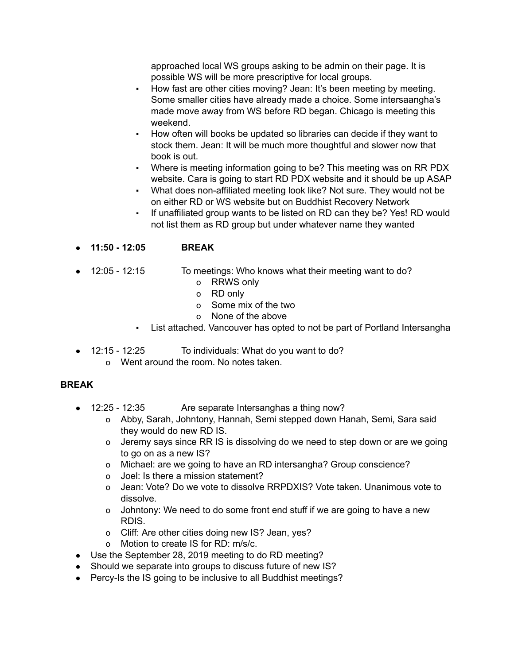approached local WS groups asking to be admin on their page. It is possible WS will be more prescriptive for local groups.

- How fast are other cities moving? Jean: It's been meeting by meeting. Some smaller cities have already made a choice. Some intersaangha's made move away from WS before RD began. Chicago is meeting this weekend.
- How often will books be updated so libraries can decide if they want to stock them. Jean: It will be much more thoughtful and slower now that book is out.
- Where is meeting information going to be? This meeting was on RR PDX website. Cara is going to start RD PDX website and it should be up ASAP
- What does non-affiliated meeting look like? Not sure. They would not be on either RD or WS website but on Buddhist Recovery Network
- If unaffiliated group wants to be listed on RD can they be? Yes! RD would not list them as RD group but under whatever name they wanted
- **11:50 - 12:05 BREAK**
- 12:05 12:15 To meetings: Who knows what their meeting want to do?
	- o RRWS only
	- o RD only
	- o Some mix of the two
	- o None of the above
	- List attached. Vancouver has opted to not be part of Portland Intersangha
- 12:15 12:25 To individuals: What do you want to do?
	- o Went around the room. No notes taken.

## **BREAK**

- 12:25 12:35 Are separate Intersanghas a thing now?
	- o Abby, Sarah, Johntony, Hannah, Semi stepped down Hanah, Semi, Sara said they would do new RD IS.
	- o Jeremy says since RR IS is dissolving do we need to step down or are we going to go on as a new IS?
	- o Michael: are we going to have an RD intersangha? Group conscience?
	- o Joel: Is there a mission statement?
	- o Jean: Vote? Do we vote to dissolve RRPDXIS? Vote taken. Unanimous vote to dissolve.
	- o Johntony: We need to do some front end stuff if we are going to have a new RDIS.
	- o Cliff: Are other cities doing new IS? Jean, yes?
	- o Motion to create IS for RD: m/s/c.
- Use the September 28, 2019 meeting to do RD meeting?
- Should we separate into groups to discuss future of new IS?
- Percy-Is the IS going to be inclusive to all Buddhist meetings?